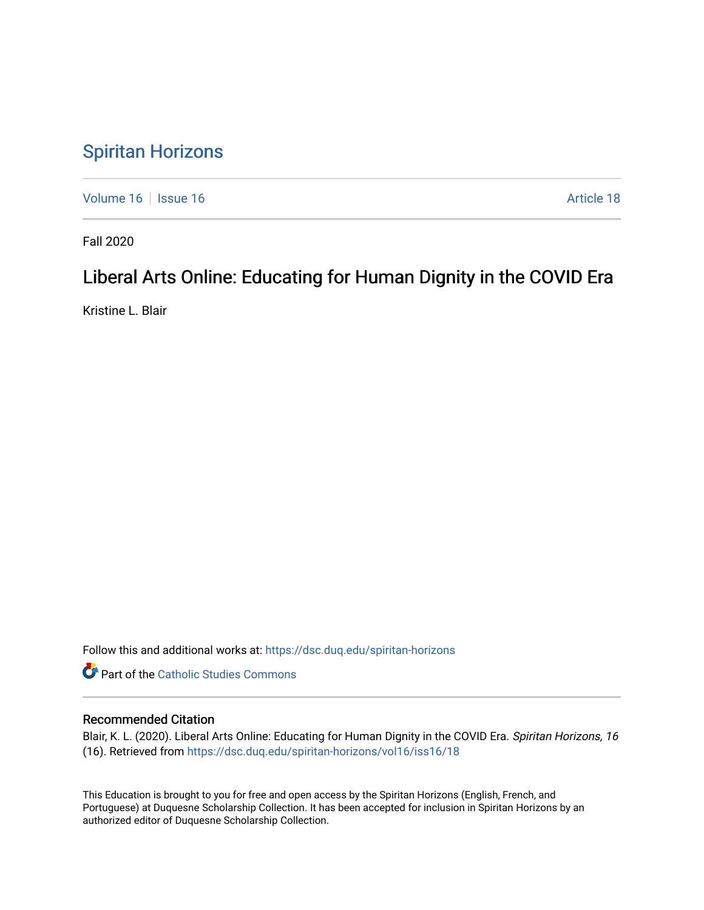## [Spiritan Horizons](https://dsc.duq.edu/spiritan-horizons)

[Volume 16](https://dsc.duq.edu/spiritan-horizons/vol16) | [Issue 16](https://dsc.duq.edu/spiritan-horizons/vol16/iss16) | Issue 16 | Issue 16 | Issue 16 | Issue 16 | Issue 16 | Issue 16 | Issue 16 | Issue 16 | Issue 16 | Issue 16 | Issue 16 | Issue 16 | Issue 16 | Issue 16 | Issue 16 | Issue 16 | Issue 16 | Issue 16 | I

Fall 2020

# Liberal Arts Online: Educating for Human Dignity in the COVID Era

Kristine L. Blair

Follow this and additional works at: [https://dsc.duq.edu/spiritan-horizons](https://dsc.duq.edu/spiritan-horizons?utm_source=dsc.duq.edu%2Fspiritan-horizons%2Fvol16%2Fiss16%2F18&utm_medium=PDF&utm_campaign=PDFCoverPages)

**Part of the [Catholic Studies Commons](http://network.bepress.com/hgg/discipline/1294?utm_source=dsc.duq.edu%2Fspiritan-horizons%2Fvol16%2Fiss16%2F18&utm_medium=PDF&utm_campaign=PDFCoverPages)** 

### Recommended Citation

Blair, K. L. (2020). Liberal Arts Online: Educating for Human Dignity in the COVID Era. Spiritan Horizons, 16 (16). Retrieved from [https://dsc.duq.edu/spiritan-horizons/vol16/iss16/18](https://dsc.duq.edu/spiritan-horizons/vol16/iss16/18?utm_source=dsc.duq.edu%2Fspiritan-horizons%2Fvol16%2Fiss16%2F18&utm_medium=PDF&utm_campaign=PDFCoverPages) 

This Education is brought to you for free and open access by the Spiritan Horizons (English, French, and Portuguese) at Duquesne Scholarship Collection. It has been accepted for inclusion in Spiritan Horizons by an authorized editor of Duquesne Scholarship Collection.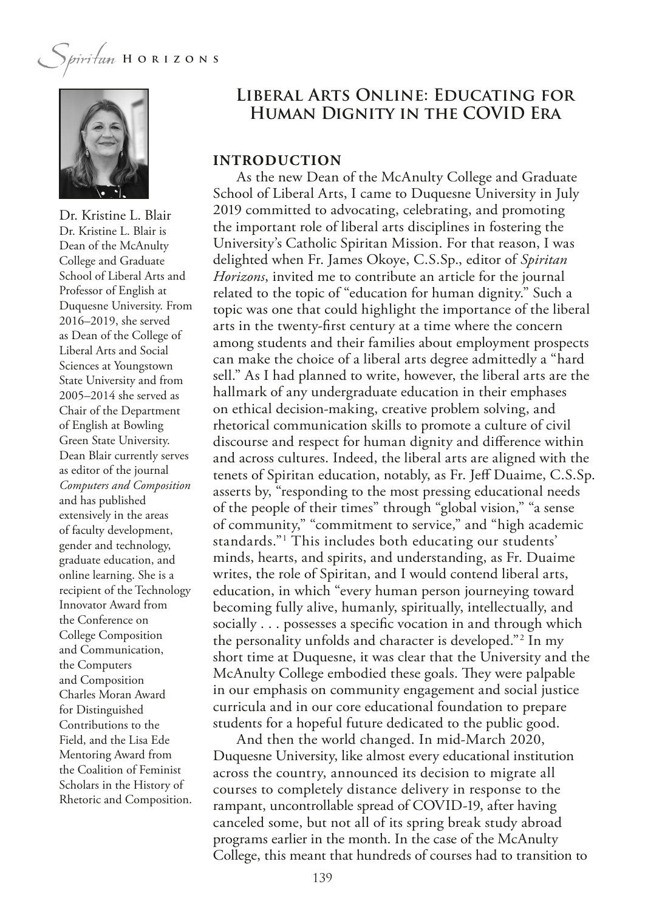

Dr. Kristine L. Blair Dr. Kristine L. Blair is Dean of the McAnulty College and Graduate School of Liberal Arts and Professor of English at Duquesne University. From 2016–2019, she served as Dean of the College of Liberal Arts and Social Sciences at Youngstown State University and from 2005–2014 she served as Chair of the Department of English at Bowling Green State University. Dean Blair currently serves as editor of the journal *Computers and Composition* and has published extensively in the areas of faculty development, gender and technology, graduate education, and online learning. She is a recipient of the Technology Innovator Award from the Conference on College Composition and Communication, the Computers and Composition Charles Moran Award for Distinguished Contributions to the Field, and the Lisa Ede Mentoring Award from the Coalition of Feminist Scholars in the History of Rhetoric and Composition.

### **Liberal Arts Online: Educating for Human Dignity in the COVID Era**

#### **INTRODUCTION**

As the new Dean of the McAnulty College and Graduate School of Liberal Arts, I came to Duquesne University in July 2019 committed to advocating, celebrating, and promoting the important role of liberal arts disciplines in fostering the University's Catholic Spiritan Mission. For that reason, I was delighted when Fr. James Okoye, C.S.Sp., editor of *Spiritan Horizons*, invited me to contribute an article for the journal related to the topic of "education for human dignity." Such a topic was one that could highlight the importance of the liberal arts in the twenty-frst century at a time where the concern among students and their families about employment prospects can make the choice of a liberal arts degree admittedly a "hard sell." As I had planned to write, however, the liberal arts are the hallmark of any undergraduate education in their emphases on ethical decision-making, creative problem solving, and rhetorical communication skills to promote a culture of civil discourse and respect for human dignity and diference within and across cultures. Indeed, the liberal arts are aligned with the tenets of Spiritan education, notably, as Fr. Jef Duaime, C.S.Sp. asserts by, "responding to the most pressing educational needs of the people of their times" through "global vision," "a sense of community," "commitment to service," and "high academic standards."1 This includes both educating our students' minds, hearts, and spirits, and understanding, as Fr. Duaime writes, the role of Spiritan, and I would contend liberal arts, education, in which "every human person journeying toward becoming fully alive, humanly, spiritually, intellectually, and socially . . . possesses a specifc vocation in and through which the personality unfolds and character is developed."2 In my short time at Duquesne, it was clear that the University and the McAnulty College embodied these goals. They were palpable in our emphasis on community engagement and social justice curricula and in our core educational foundation to prepare students for a hopeful future dedicated to the public good.

And then the world changed. In mid-March 2020, Duquesne University, like almost every educational institution across the country, announced its decision to migrate all courses to completely distance delivery in response to the rampant, uncontrollable spread of COVID-19, after having canceled some, but not all of its spring break study abroad programs earlier in the month. In the case of the McAnulty College, this meant that hundreds of courses had to transition to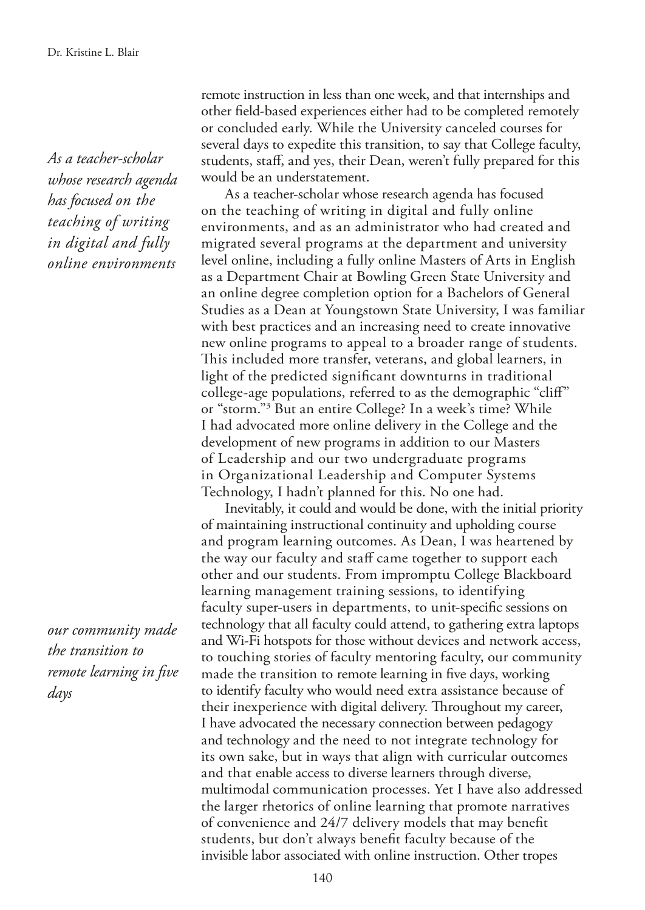*As a teacher-scholar whose research agenda has focused on the teaching of writing in digital and fully online environments*

*our community made the transition to remote learning in fve days*

remote instruction in less than one week, and that internships and other feld-based experiences either had to be completed remotely or concluded early. While the University canceled courses for several days to expedite this transition, to say that College faculty, students, staf, and yes, their Dean, weren't fully prepared for this would be an understatement.

As a teacher-scholar whose research agenda has focused on the teaching of writing in digital and fully online environments, and as an administrator who had created and migrated several programs at the department and university level online, including a fully online Masters of Arts in English as a Department Chair at Bowling Green State University and an online degree completion option for a Bachelors of General Studies as a Dean at Youngstown State University, I was familiar with best practices and an increasing need to create innovative new online programs to appeal to a broader range of students. This included more transfer, veterans, and global learners, in light of the predicted signifcant downturns in traditional college-age populations, referred to as the demographic "clif" or "storm."3 But an entire College? In a week's time? While I had advocated more online delivery in the College and the development of new programs in addition to our Masters of Leadership and our two undergraduate programs in Organizational Leadership and Computer Systems Technology, I hadn't planned for this. No one had.

Inevitably, it could and would be done, with the initial priority of maintaining instructional continuity and upholding course and program learning outcomes. As Dean, I was heartened by the way our faculty and staff came together to support each other and our students. From impromptu College Blackboard learning management training sessions, to identifying faculty super-users in departments, to unit-specifc sessions on technology that all faculty could attend, to gathering extra laptops and Wi-Fi hotspots for those without devices and network access, to touching stories of faculty mentoring faculty, our community made the transition to remote learning in fve days, working to identify faculty who would need extra assistance because of their inexperience with digital delivery. Throughout my career, I have advocated the necessary connection between pedagogy and technology and the need to not integrate technology for its own sake, but in ways that align with curricular outcomes and that enable access to diverse learners through diverse, multimodal communication processes. Yet I have also addressed the larger rhetorics of online learning that promote narratives of convenience and 24/7 delivery models that may beneft students, but don't always beneft faculty because of the invisible labor associated with online instruction. Other tropes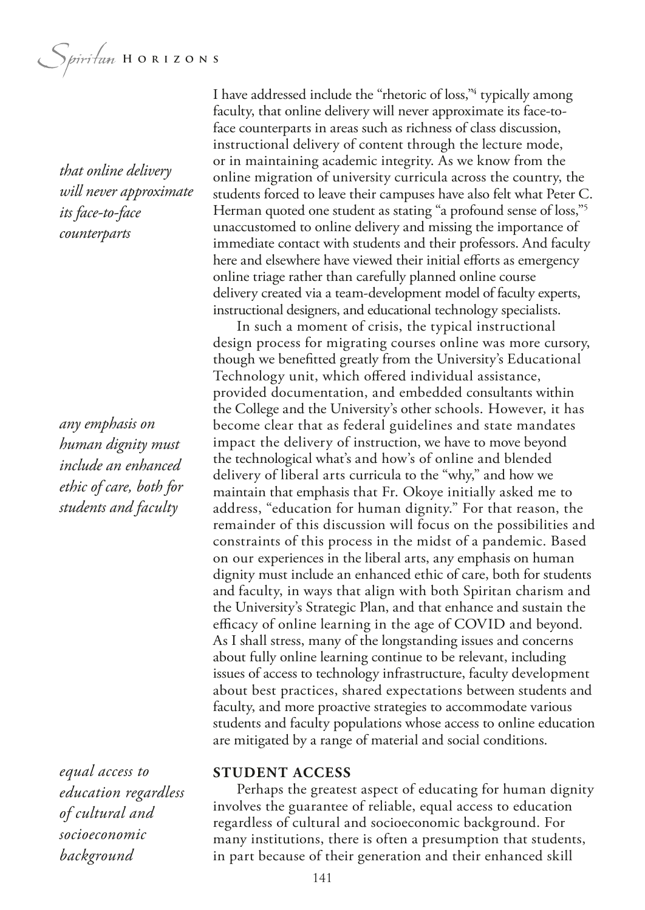Spiritum HORIZONS

*that online delivery will never approximate its face-to-face counterparts*

*any emphasis on human dignity must include an enhanced ethic of care, both for students and faculty*

*equal access to education regardless of cultural and socioeconomic background*

I have addressed include the "rhetoric of loss,"<sup>4</sup> typically among faculty, that online delivery will never approximate its face-toface counterparts in areas such as richness of class discussion, instructional delivery of content through the lecture mode, or in maintaining academic integrity. As we know from the online migration of university curricula across the country, the students forced to leave their campuses have also felt what Peter C. Herman quoted one student as stating "a profound sense of loss,"5 unaccustomed to online delivery and missing the importance of immediate contact with students and their professors. And faculty here and elsewhere have viewed their initial efforts as emergency online triage rather than carefully planned online course delivery created via a team-development model of faculty experts, instructional designers, and educational technology specialists.

In such a moment of crisis, the typical instructional design process for migrating courses online was more cursory, though we beneftted greatly from the University's Educational Technology unit, which ofered individual assistance, provided documentation, and embedded consultants within the College and the University's other schools. However, it has become clear that as federal guidelines and state mandates impact the delivery of instruction, we have to move beyond the technological what's and how's of online and blended delivery of liberal arts curricula to the "why," and how we maintain that emphasis that Fr. Okoye initially asked me to address, "education for human dignity." For that reason, the remainder of this discussion will focus on the possibilities and constraints of this process in the midst of a pandemic. Based on our experiences in the liberal arts, any emphasis on human dignity must include an enhanced ethic of care, both for students and faculty, in ways that align with both Spiritan charism and the University's Strategic Plan, and that enhance and sustain the efficacy of online learning in the age of COVID and beyond. As I shall stress, many of the longstanding issues and concerns about fully online learning continue to be relevant, including issues of access to technology infrastructure, faculty development about best practices, shared expectations between students and faculty, and more proactive strategies to accommodate various students and faculty populations whose access to online education are mitigated by a range of material and social conditions.

#### **STUDENT ACCESS**

Perhaps the greatest aspect of educating for human dignity involves the guarantee of reliable, equal access to education regardless of cultural and socioeconomic background. For many institutions, there is often a presumption that students, in part because of their generation and their enhanced skill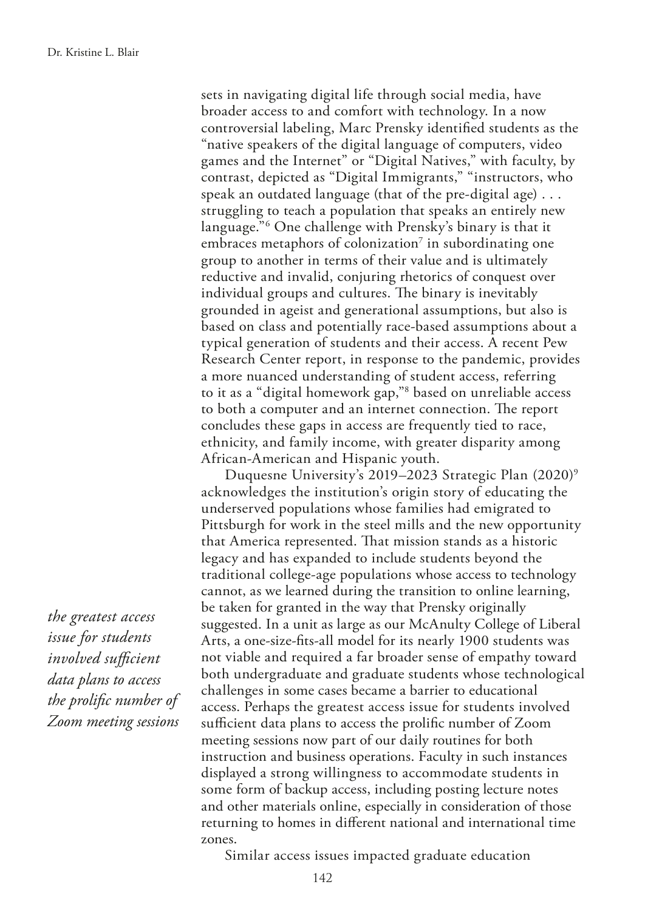sets in navigating digital life through social media, have broader access to and comfort with technology. In a now controversial labeling, Marc Prensky identifed students as the "native speakers of the digital language of computers, video games and the Internet" or "Digital Natives," with faculty, by contrast, depicted as "Digital Immigrants," "instructors, who speak an outdated language (that of the pre-digital age) . . . struggling to teach a population that speaks an entirely new language."6 One challenge with Prensky's binary is that it embraces metaphors of colonization<sup>7</sup> in subordinating one group to another in terms of their value and is ultimately reductive and invalid, conjuring rhetorics of conquest over individual groups and cultures. The binary is inevitably grounded in ageist and generational assumptions, but also is based on class and potentially race-based assumptions about a typical generation of students and their access. A recent Pew Research Center report, in response to the pandemic, provides a more nuanced understanding of student access, referring to it as a "digital homework gap,"8 based on unreliable access to both a computer and an internet connection. The report concludes these gaps in access are frequently tied to race, ethnicity, and family income, with greater disparity among African-American and Hispanic youth.

Duquesne University's 2019–2023 Strategic Plan (2020)9 acknowledges the institution's origin story of educating the underserved populations whose families had emigrated to Pittsburgh for work in the steel mills and the new opportunity that America represented. That mission stands as a historic legacy and has expanded to include students beyond the traditional college-age populations whose access to technology cannot, as we learned during the transition to online learning, be taken for granted in the way that Prensky originally suggested. In a unit as large as our McAnulty College of Liberal Arts, a one-size-fts-all model for its nearly 1900 students was not viable and required a far broader sense of empathy toward both undergraduate and graduate students whose technological challenges in some cases became a barrier to educational access. Perhaps the greatest access issue for students involved sufficient data plans to access the prolific number of Zoom meeting sessions now part of our daily routines for both instruction and business operations. Faculty in such instances displayed a strong willingness to accommodate students in some form of backup access, including posting lecture notes and other materials online, especially in consideration of those returning to homes in diferent national and international time zones.

*the greatest access issue for students involved* sufficient *data plans to access the prolifc number of Zoom meeting sessions*

Similar access issues impacted graduate education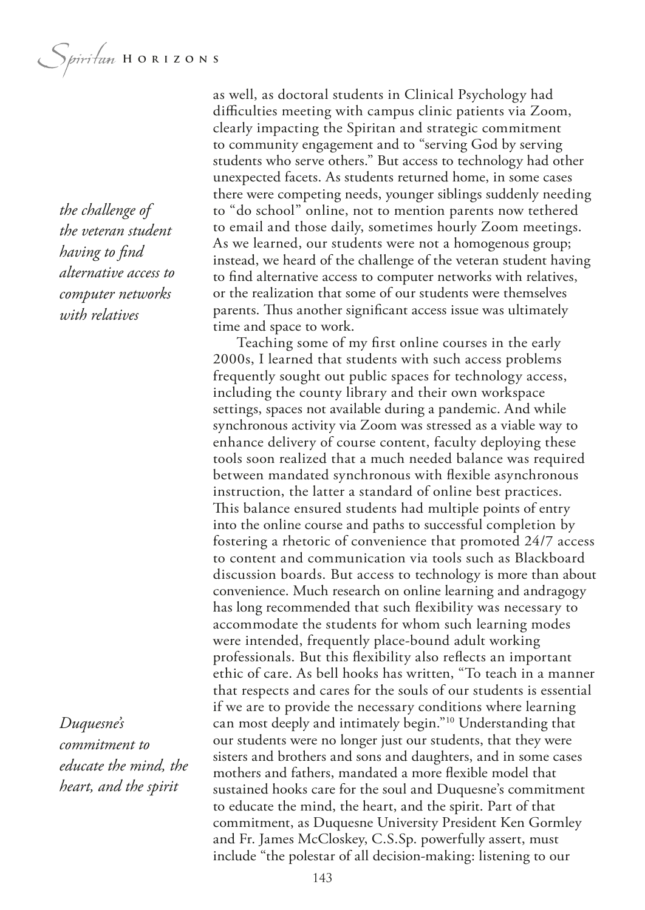*the challenge of the veteran student having to fnd alternative access to computer networks with relatives*

*Duquesne's commitment to educate the mind, the heart, and the spirit*

as well, as doctoral students in Clinical Psychology had difficulties meeting with campus clinic patients via Zoom, clearly impacting the Spiritan and strategic commitment to community engagement and to "serving God by serving students who serve others." But access to technology had other unexpected facets. As students returned home, in some cases there were competing needs, younger siblings suddenly needing to "do school" online, not to mention parents now tethered to email and those daily, sometimes hourly Zoom meetings. As we learned, our students were not a homogenous group; instead, we heard of the challenge of the veteran student having to fnd alternative access to computer networks with relatives, or the realization that some of our students were themselves parents. Thus another significant access issue was ultimately time and space to work.

Teaching some of my frst online courses in the early 2000s, I learned that students with such access problems frequently sought out public spaces for technology access, including the county library and their own workspace settings, spaces not available during a pandemic. And while synchronous activity via Zoom was stressed as a viable way to enhance delivery of course content, faculty deploying these tools soon realized that a much needed balance was required between mandated synchronous with fexible asynchronous instruction, the latter a standard of online best practices. This balance ensured students had multiple points of entry into the online course and paths to successful completion by fostering a rhetoric of convenience that promoted 24/7 access to content and communication via tools such as Blackboard discussion boards. But access to technology is more than about convenience. Much research on online learning and andragogy has long recommended that such fexibility was necessary to accommodate the students for whom such learning modes were intended, frequently place-bound adult working professionals. But this fexibility also refects an important ethic of care. As bell hooks has written, "To teach in a manner that respects and cares for the souls of our students is essential if we are to provide the necessary conditions where learning can most deeply and intimately begin."10 Understanding that our students were no longer just our students, that they were sisters and brothers and sons and daughters, and in some cases mothers and fathers, mandated a more fexible model that sustained hooks care for the soul and Duquesne's commitment to educate the mind, the heart, and the spirit. Part of that commitment, as Duquesne University President Ken Gormley and Fr. James McCloskey, C.S.Sp. powerfully assert, must include "the polestar of all decision-making: listening to our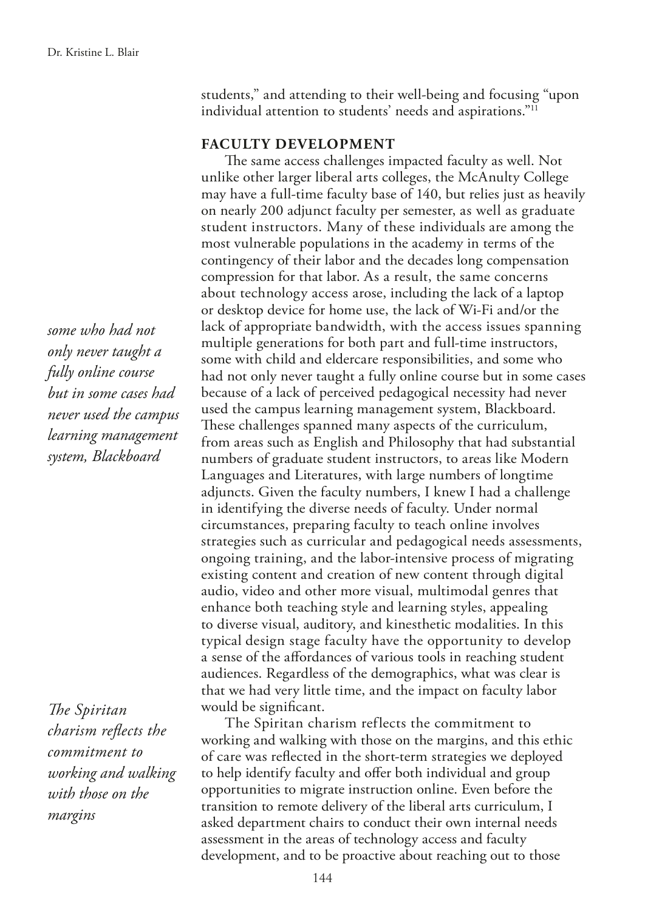*some who had not only never taught a fully online course but in some cases had never used the campus learning management system, Blackboard*

*The Spiritan charism refects the commitment to working and walking with those on the margins*

students," and attending to their well-being and focusing "upon individual attention to students' needs and aspirations."11

#### **FACULTY DEVELOPMENT**

The same access challenges impacted faculty as well. Not unlike other larger liberal arts colleges, the McAnulty College may have a full-time faculty base of 140, but relies just as heavily on nearly 200 adjunct faculty per semester, as well as graduate student instructors. Many of these individuals are among the most vulnerable populations in the academy in terms of the contingency of their labor and the decades long compensation compression for that labor. As a result, the same concerns about technology access arose, including the lack of a laptop or desktop device for home use, the lack of Wi-Fi and/or the lack of appropriate bandwidth, with the access issues spanning multiple generations for both part and full-time instructors, some with child and eldercare responsibilities, and some who had not only never taught a fully online course but in some cases because of a lack of perceived pedagogical necessity had never used the campus learning management system, Blackboard. These challenges spanned many aspects of the curriculum, from areas such as English and Philosophy that had substantial numbers of graduate student instructors, to areas like Modern Languages and Literatures, with large numbers of longtime adjuncts. Given the faculty numbers, I knew I had a challenge in identifying the diverse needs of faculty. Under normal circumstances, preparing faculty to teach online involves strategies such as curricular and pedagogical needs assessments, ongoing training, and the labor-intensive process of migrating existing content and creation of new content through digital audio, video and other more visual, multimodal genres that enhance both teaching style and learning styles, appealing to diverse visual, auditory, and kinesthetic modalities. In this typical design stage faculty have the opportunity to develop a sense of the afordances of various tools in reaching student audiences. Regardless of the demographics, what was clear is that we had very little time, and the impact on faculty labor would be signifcant.

The Spiritan charism reflects the commitment to working and walking with those on the margins, and this ethic of care was refected in the short-term strategies we deployed to help identify faculty and ofer both individual and group opportunities to migrate instruction online. Even before the transition to remote delivery of the liberal arts curriculum, I asked department chairs to conduct their own internal needs assessment in the areas of technology access and faculty development, and to be proactive about reaching out to those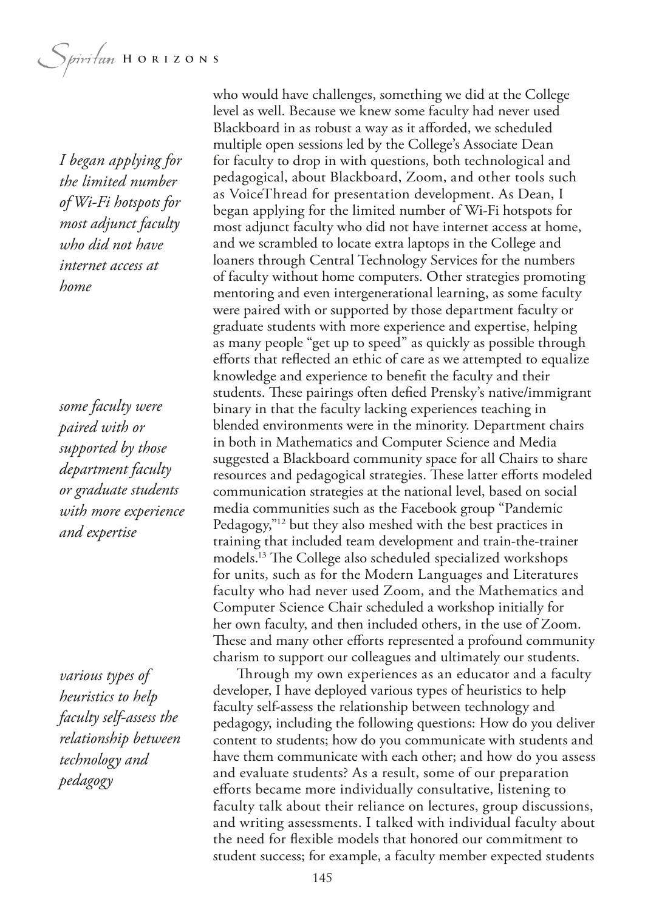*I began applying for the limited number of Wi-Fi hotspots for most adjunct faculty who did not have internet access at home*

*some faculty were paired with or supported by those department faculty or graduate students with more experience and expertise*

*various types of heuristics to help faculty self-assess the relationship between technology and pedagogy*

who would have challenges, something we did at the College level as well. Because we knew some faculty had never used Blackboard in as robust a way as it aforded, we scheduled multiple open sessions led by the College's Associate Dean for faculty to drop in with questions, both technological and pedagogical, about Blackboard, Zoom, and other tools such as VoiceThread for presentation development. As Dean, I began applying for the limited number of Wi-Fi hotspots for most adjunct faculty who did not have internet access at home, and we scrambled to locate extra laptops in the College and loaners through Central Technology Services for the numbers of faculty without home computers. Other strategies promoting mentoring and even intergenerational learning, as some faculty were paired with or supported by those department faculty or graduate students with more experience and expertise, helping as many people "get up to speed" as quickly as possible through eforts that refected an ethic of care as we attempted to equalize knowledge and experience to beneft the faculty and their students. These pairings often defied Prensky's native/immigrant binary in that the faculty lacking experiences teaching in blended environments were in the minority. Department chairs in both in Mathematics and Computer Science and Media suggested a Blackboard community space for all Chairs to share resources and pedagogical strategies. These latter efforts modeled communication strategies at the national level, based on social media communities such as the Facebook group "Pandemic Pedagogy,"12 but they also meshed with the best practices in training that included team development and train-the-trainer models.<sup>13</sup> The College also scheduled specialized workshops for units, such as for the Modern Languages and Literatures faculty who had never used Zoom, and the Mathematics and Computer Science Chair scheduled a workshop initially for her own faculty, and then included others, in the use of Zoom. These and many other efforts represented a profound community charism to support our colleagues and ultimately our students.

Through my own experiences as an educator and a faculty developer, I have deployed various types of heuristics to help faculty self-assess the relationship between technology and pedagogy, including the following questions: How do you deliver content to students; how do you communicate with students and have them communicate with each other; and how do you assess and evaluate students? As a result, some of our preparation eforts became more individually consultative, listening to faculty talk about their reliance on lectures, group discussions, and writing assessments. I talked with individual faculty about the need for fexible models that honored our commitment to student success; for example, a faculty member expected students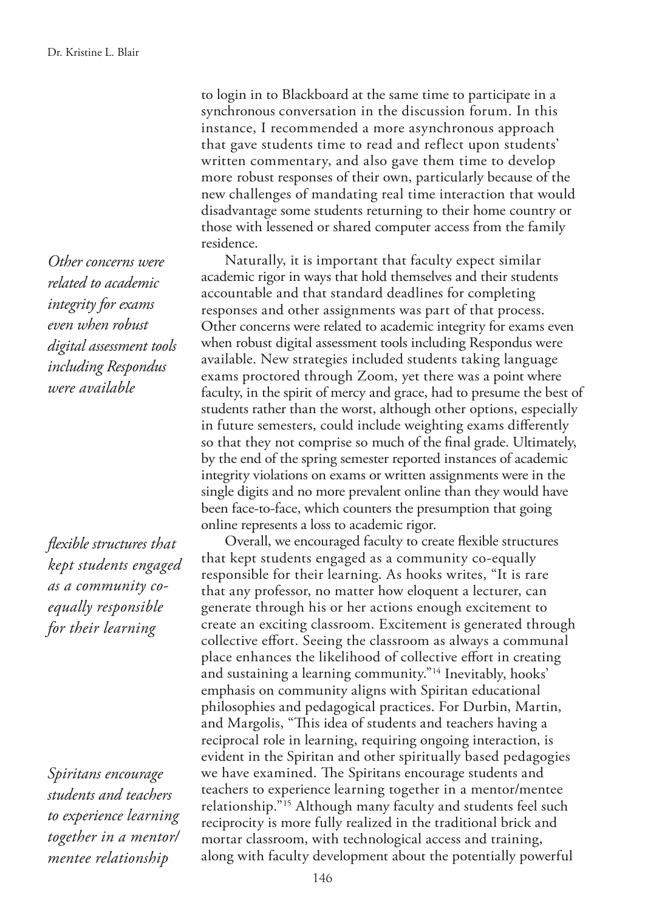*Other concerns were related to academic integrity for exams even when robust digital assessment tools including Respondus were available*

*fexible structures that kept students engaged as a community coequally responsible for their learning*

*Spiritans encourage students and teachers to experience learning together in a mentor/ mentee relationship*

to login in to Blackboard at the same time to participate in a synchronous conversation in the discussion forum. In this instance, I recommended a more asynchronous approach that gave students time to read and reflect upon students' written commentary, and also gave them time to develop more robust responses of their own, particularly because of the new challenges of mandating real time interaction that would disadvantage some students returning to their home country or those with lessened or shared computer access from the family residence.

Naturally, it is important that faculty expect similar academic rigor in ways that hold themselves and their students accountable and that standard deadlines for completing responses and other assignments was part of that process. Other concerns were related to academic integrity for exams even when robust digital assessment tools including Respondus were available. New strategies included students taking language exams proctored through Zoom, yet there was a point where faculty, in the spirit of mercy and grace, had to presume the best of students rather than the worst, although other options, especially in future semesters, could include weighting exams diferently so that they not comprise so much of the fnal grade. Ultimately, by the end of the spring semester reported instances of academic integrity violations on exams or written assignments were in the single digits and no more prevalent online than they would have been face-to-face, which counters the presumption that going online represents a loss to academic rigor.

Overall, we encouraged faculty to create fexible structures that kept students engaged as a community co-equally responsible for their learning. As hooks writes, "It is rare that any professor, no matter how eloquent a lecturer, can generate through his or her actions enough excitement to create an exciting classroom. Excitement is generated through collective efort. Seeing the classroom as always a communal place enhances the likelihood of collective efort in creating and sustaining a learning community."14 Inevitably, hooks' emphasis on community aligns with Spiritan educational philosophies and pedagogical practices. For Durbin, Martin, and Margolis, "This idea of students and teachers having a reciprocal role in learning, requiring ongoing interaction, is evident in the Spiritan and other spiritually based pedagogies we have examined. The Spiritans encourage students and teachers to experience learning together in a mentor/mentee relationship."15 Although many faculty and students feel such reciprocity is more fully realized in the traditional brick and mortar classroom, with technological access and training, along with faculty development about the potentially powerful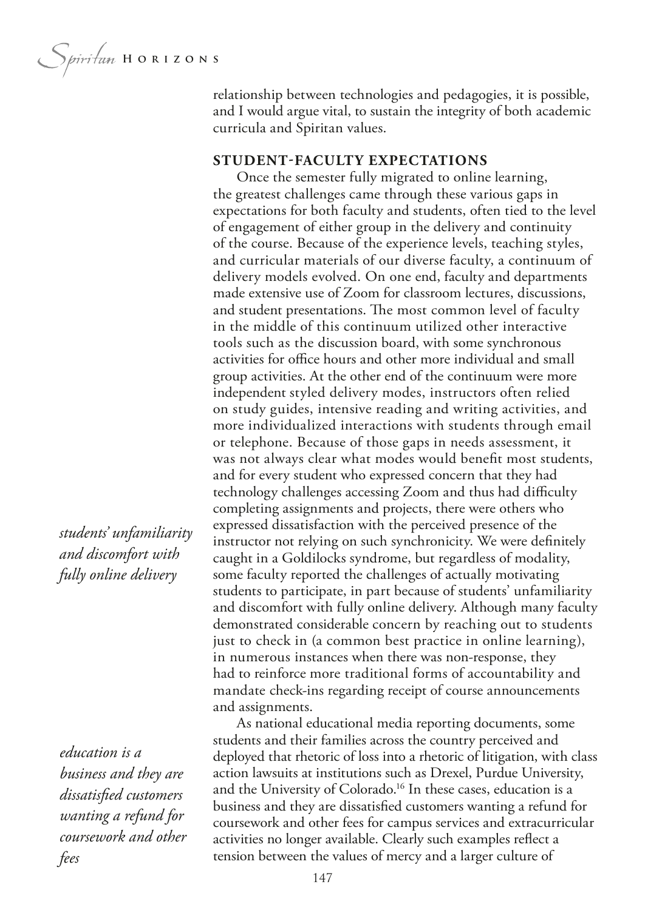*Spiritum* HORIZONS

relationship between technologies and pedagogies, it is possible, and I would argue vital, to sustain the integrity of both academic curricula and Spiritan values.

#### **STUDENT-FACULTY EXPECTATIONS**

Once the semester fully migrated to online learning, the greatest challenges came through these various gaps in expectations for both faculty and students, often tied to the level of engagement of either group in the delivery and continuity of the course. Because of the experience levels, teaching styles, and curricular materials of our diverse faculty, a continuum of delivery models evolved. On one end, faculty and departments made extensive use of Zoom for classroom lectures, discussions, and student presentations. The most common level of faculty in the middle of this continuum utilized other interactive tools such as the discussion board, with some synchronous activities for office hours and other more individual and small group activities. At the other end of the continuum were more independent styled delivery modes, instructors often relied on study guides, intensive reading and writing activities, and more individualized interactions with students through email or telephone. Because of those gaps in needs assessment, it was not always clear what modes would beneft most students, and for every student who expressed concern that they had technology challenges accessing Zoom and thus had difficulty completing assignments and projects, there were others who expressed dissatisfaction with the perceived presence of the instructor not relying on such synchronicity. We were defnitely caught in a Goldilocks syndrome, but regardless of modality, some faculty reported the challenges of actually motivating students to participate, in part because of students' unfamiliarity and discomfort with fully online delivery. Although many faculty demonstrated considerable concern by reaching out to students just to check in (a common best practice in online learning), in numerous instances when there was non-response, they had to reinforce more traditional forms of accountability and mandate check-ins regarding receipt of course announcements and assignments.

As national educational media reporting documents, some students and their families across the country perceived and deployed that rhetoric of loss into a rhetoric of litigation, with class action lawsuits at institutions such as Drexel, Purdue University, and the University of Colorado.<sup>16</sup> In these cases, education is a business and they are dissatisfed customers wanting a refund for coursework and other fees for campus services and extracurricular activities no longer available. Clearly such examples refect a tension between the values of mercy and a larger culture of

*students' unfamiliarity and discomfort with fully online delivery*

*education is a business and they are dissatisfed customers wanting a refund for coursework and other fees*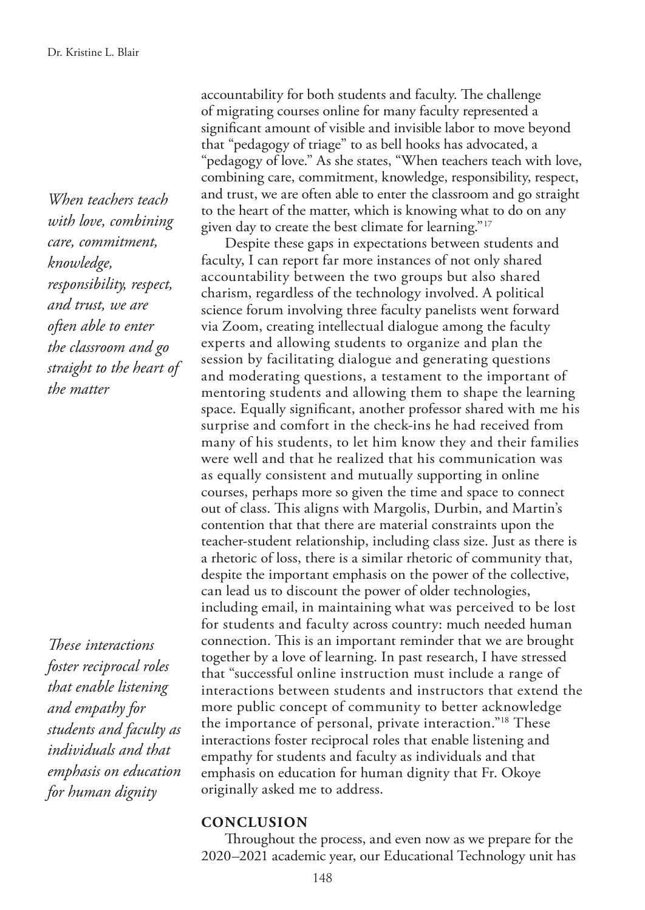*When teachers teach with love, combining care, commitment, knowledge, responsibility, respect, and trust, we are often able to enter the classroom and go straight to the heart of the matter*

*Tese interactions foster reciprocal roles that enable listening and empathy for students and faculty as individuals and that emphasis on education for human dignity*

accountability for both students and faculty. The challenge of migrating courses online for many faculty represented a signifcant amount of visible and invisible labor to move beyond that "pedagogy of triage" to as bell hooks has advocated, a "pedagogy of love." As she states, "When teachers teach with love, combining care, commitment, knowledge, responsibility, respect, and trust, we are often able to enter the classroom and go straight to the heart of the matter, which is knowing what to do on any given day to create the best climate for learning."17

Despite these gaps in expectations between students and faculty, I can report far more instances of not only shared accountability between the two groups but also shared charism, regardless of the technology involved. A political science forum involving three faculty panelists went forward via Zoom, creating intellectual dialogue among the faculty experts and allowing students to organize and plan the session by facilitating dialogue and generating questions and moderating questions, a testament to the important of mentoring students and allowing them to shape the learning space. Equally signifcant, another professor shared with me his surprise and comfort in the check-ins he had received from many of his students, to let him know they and their families were well and that he realized that his communication was as equally consistent and mutually supporting in online courses, perhaps more so given the time and space to connect out of class. This aligns with Margolis, Durbin, and Martin's contention that that there are material constraints upon the teacher-student relationship, including class size. Just as there is a rhetoric of loss, there is a similar rhetoric of community that, despite the important emphasis on the power of the collective, can lead us to discount the power of older technologies, including email, in maintaining what was perceived to be lost for students and faculty across country: much needed human connection. This is an important reminder that we are brought together by a love of learning. In past research, I have stressed that "successful online instruction must include a range of interactions between students and instructors that extend the more public concept of community to better acknowledge the importance of personal, private interaction."18 These interactions foster reciprocal roles that enable listening and empathy for students and faculty as individuals and that emphasis on education for human dignity that Fr. Okoye originally asked me to address.

#### **CONCLUSION**

Throughout the process, and even now as we prepare for the 2020–2021 academic year, our Educational Technology unit has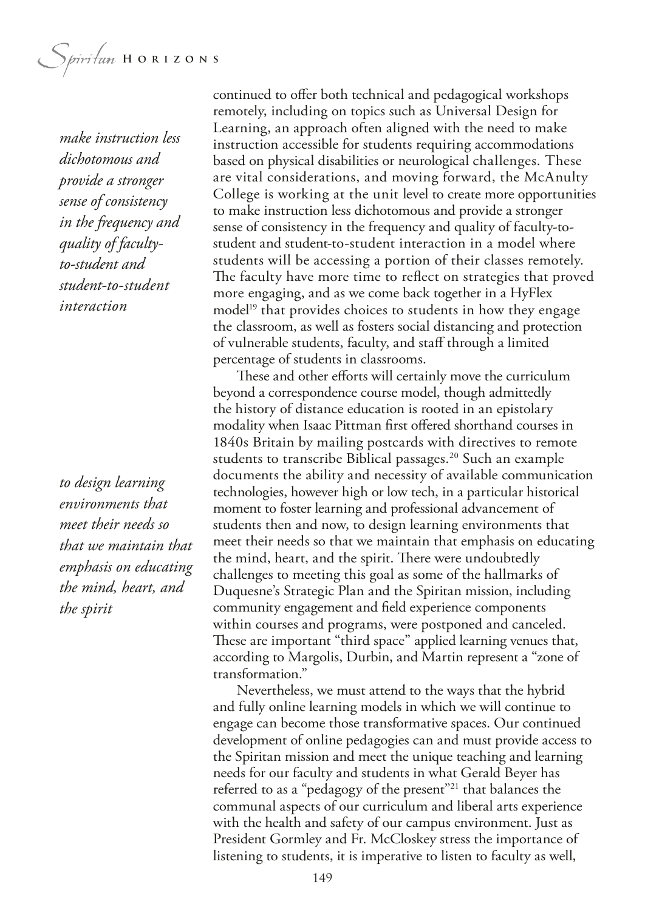Spiritum HORIZONS

*make instruction less dichotomous and provide a stronger sense of consistency in the frequency and quality of facultyto-student and student-to-student interaction*

*to design learning environments that meet their needs so that we maintain that emphasis on educating the mind, heart, and the spirit*

continued to offer both technical and pedagogical workshops remotely, including on topics such as Universal Design for Learning, an approach often aligned with the need to make instruction accessible for students requiring accommodations based on physical disabilities or neurological challenges. These are vital considerations, and moving forward, the McAnulty College is working at the unit level to create more opportunities to make instruction less dichotomous and provide a stronger sense of consistency in the frequency and quality of faculty-tostudent and student-to-student interaction in a model where students will be accessing a portion of their classes remotely. The faculty have more time to reflect on strategies that proved more engaging, and as we come back together in a HyFlex model<sup>19</sup> that provides choices to students in how they engage the classroom, as well as fosters social distancing and protection of vulnerable students, faculty, and staf through a limited percentage of students in classrooms.

These and other efforts will certainly move the curriculum beyond a correspondence course model, though admittedly the history of distance education is rooted in an epistolary modality when Isaac Pittman frst ofered shorthand courses in 1840s Britain by mailing postcards with directives to remote students to transcribe Biblical passages.<sup>20</sup> Such an example documents the ability and necessity of available communication technologies, however high or low tech, in a particular historical moment to foster learning and professional advancement of students then and now, to design learning environments that meet their needs so that we maintain that emphasis on educating the mind, heart, and the spirit. There were undoubtedly challenges to meeting this goal as some of the hallmarks of Duquesne's Strategic Plan and the Spiritan mission, including community engagement and feld experience components within courses and programs, were postponed and canceled. These are important "third space" applied learning venues that, according to Margolis, Durbin, and Martin represent a "zone of transformation."

Nevertheless, we must attend to the ways that the hybrid and fully online learning models in which we will continue to engage can become those transformative spaces. Our continued development of online pedagogies can and must provide access to the Spiritan mission and meet the unique teaching and learning needs for our faculty and students in what Gerald Beyer has referred to as a "pedagogy of the present"21 that balances the communal aspects of our curriculum and liberal arts experience with the health and safety of our campus environment. Just as President Gormley and Fr. McCloskey stress the importance of listening to students, it is imperative to listen to faculty as well,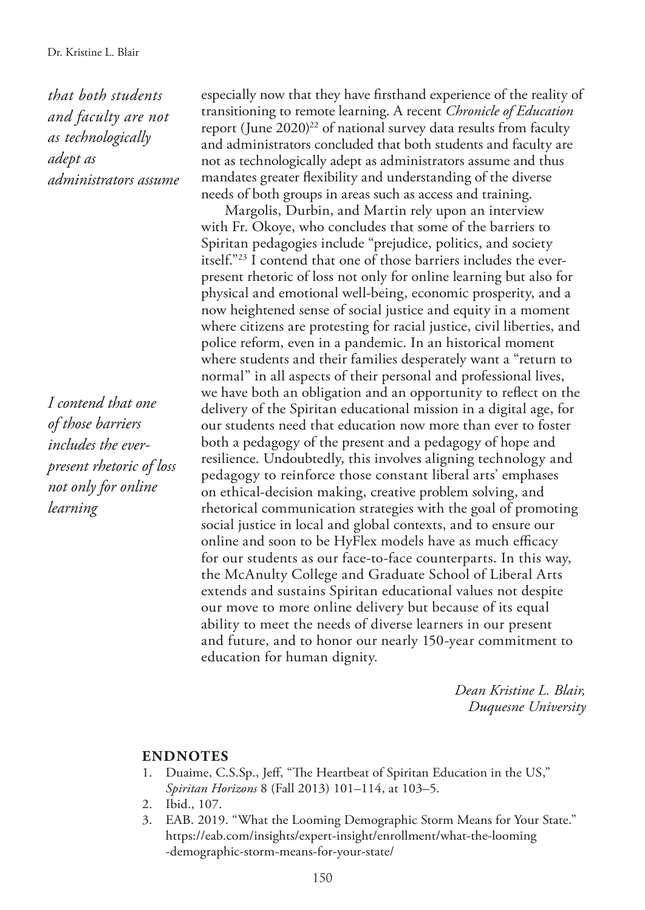*that both students and faculty are not as technologically adept as administrators assume*

*I contend that one of those barriers includes the everpresent rhetoric of loss not only for online learning*

especially now that they have frsthand experience of the reality of transitioning to remote learning. A recent *Chronicle of Education* report (June 2020)<sup>22</sup> of national survey data results from faculty and administrators concluded that both students and faculty are not as technologically adept as administrators assume and thus mandates greater fexibility and understanding of the diverse needs of both groups in areas such as access and training.

Margolis, Durbin, and Martin rely upon an interview with Fr. Okoye, who concludes that some of the barriers to Spiritan pedagogies include "prejudice, politics, and society itself."23 I contend that one of those barriers includes the everpresent rhetoric of loss not only for online learning but also for physical and emotional well-being, economic prosperity, and a now heightened sense of social justice and equity in a moment where citizens are protesting for racial justice, civil liberties, and police reform, even in a pandemic. In an historical moment where students and their families desperately want a "return to normal" in all aspects of their personal and professional lives, we have both an obligation and an opportunity to refect on the delivery of the Spiritan educational mission in a digital age, for our students need that education now more than ever to foster both a pedagogy of the present and a pedagogy of hope and resilience. Undoubtedly, this involves aligning technology and pedagogy to reinforce those constant liberal arts' emphases on ethical-decision making, creative problem solving, and rhetorical communication strategies with the goal of promoting social justice in local and global contexts, and to ensure our online and soon to be HyFlex models have as much efficacy for our students as our face-to-face counterparts. In this way, the McAnulty College and Graduate School of Liberal Arts extends and sustains Spiritan educational values not despite our move to more online delivery but because of its equal ability to meet the needs of diverse learners in our present and future, and to honor our nearly 150-year commitment to education for human dignity.

> *Dean Kristine L. Blair, Duquesne University*

#### **ENDNOTES**

- Duaime, C.S.Sp., Jeff, "The Heartbeat of Spiritan Education in the US," *Spiritan Horizons* 8 (Fall 2013) 101–114, at 103–5.
- 2. Ibid., 107.
- 3. EAB. 2019. "What the Looming Demographic Storm Means for Your State." https://eab.com/insights/expert-insight/enrollment/what-the-looming -demographic-storm-means-for-your-state/